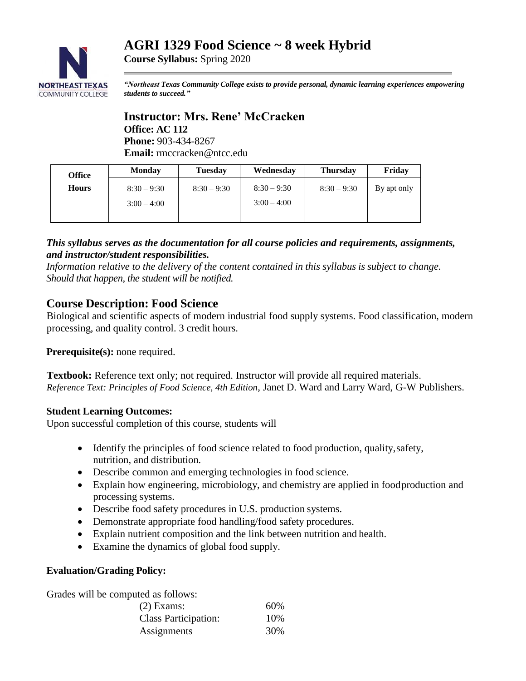# **AGRI 1329 Food Science ~ 8 week Hybrid**



**Course Syllabus:** Spring 2020

*"Northeast Texas Community College exists to provide personal, dynamic learning experiences empowering students to succeed."*

#### **Instructor: Mrs. Rene' McCracken Office: AC 112 Phone:** 903-434-8267 **Email:** rmccracken@ntcc.edu

| <b>Office</b> | <b>Monday</b> | <b>Tuesday</b> | Wednesday     | <b>Thursday</b> | Friday      |
|---------------|---------------|----------------|---------------|-----------------|-------------|
| <b>Hours</b>  | $8:30 - 9:30$ | $8:30 - 9:30$  | $8:30 - 9:30$ | $8:30 - 9:30$   | By apt only |
|               | $3:00 - 4:00$ |                | $3:00 - 4:00$ |                 |             |
|               |               |                |               |                 |             |

#### *This syllabus serves as the documentation for all course policies and requirements, assignments, and instructor/student responsibilities.*

*Information relative to the delivery of the content contained in this syllabus is subject to change. Should that happen, the student will be notified.*

# **Course Description: Food Science**

Biological and scientific aspects of modern industrial food supply systems. Food classification, modern processing, and quality control. 3 credit hours.

**Prerequisite(s):** none required.

**Textbook:** Reference text only; not required. Instructor will provide all required materials. *Reference Text: [Principles of Food Science, 4th Edition](https://www.g-wonlinetextbooks.com/principles-food-science-2015/)*, Janet D. Ward and Larry Ward, G-W Publishers.

#### **Student Learning Outcomes:**

Upon successful completion of this course, students will

- Identify the principles of food science related to food production, quality,safety, nutrition, and distribution.
- Describe common and emerging technologies in food science.
- Explain how engineering, microbiology, and chemistry are applied in foodproduction and processing systems.
- Describe food safety procedures in U.S. production systems.
- Demonstrate appropriate food handling/food safety procedures.
- Explain nutrient composition and the link between nutrition and health.
- Examine the dynamics of global food supply.

#### **Evaluation/Grading Policy:**

Grades will be computed as follows:

| $(2)$ Exams:                | 60% |
|-----------------------------|-----|
| <b>Class Participation:</b> | 10% |
| Assignments                 | 30% |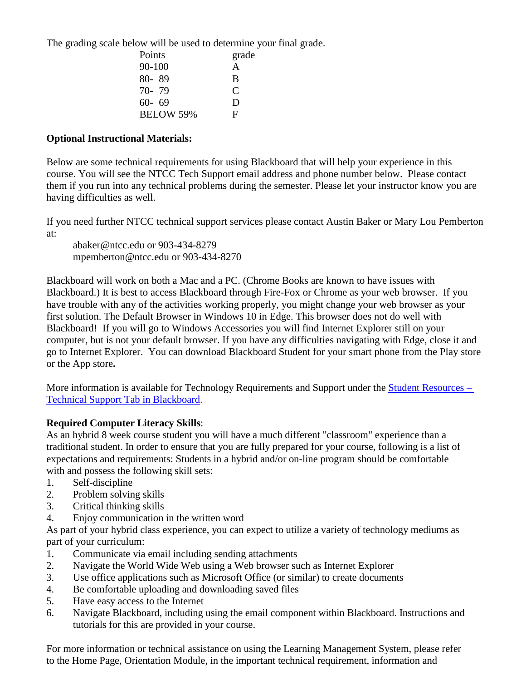The grading scale below will be used to determine your final grade.

| Points           | grade |
|------------------|-------|
| 90-100           | A     |
| 80-89            | B     |
| 70-79            | €     |
| $60 - 69$        | Ð     |
| <b>BELOW 59%</b> | F     |

#### **Optional Instructional Materials:**

Below are some technical requirements for using Blackboard that will help your experience in this course. You will see the NTCC Tech Support email address and phone number below. Please contact them if you run into any technical problems during the semester. Please let your instructor know you are having difficulties as well.

If you need further NTCC technical support services please contact Austin Baker or Mary Lou Pemberton at:

abaker@ntcc.edu or 903-434-8279 mpemberton@ntcc.edu or 903-434-8270

Blackboard will work on both a Mac and a PC. (Chrome Books are known to have issues with Blackboard.) It is best to access Blackboard through Fire-Fox or Chrome as your web browser. If you have trouble with any of the activities working properly, you might change your web browser as your first solution. The Default Browser in Windows 10 in Edge. This browser does not do well with Blackboard! If you will go to Windows Accessories you will find Internet Explorer still on your computer, but is not your default browser. If you have any difficulties navigating with Edge, close it and go to Internet Explorer. You can download Blackboard Student for your smart phone from the Play store or the App store**.**

More information is available for Technology Requirements and Support under the [Student Resources –](https://blackboard.ntcc.edu/webapps/portal/execute/tabs/tabAction?tabId=_14_1&tab_tab_group_id=_15_1) [Technical Support Tab in Blackboard.](https://blackboard.ntcc.edu/webapps/portal/execute/tabs/tabAction?tabId=_14_1&tab_tab_group_id=_15_1)

#### **Required Computer Literacy Skills**:

As an hybrid 8 week course student you will have a much different "classroom" experience than a traditional student. In order to ensure that you are fully prepared for your course, following is a list of expectations and requirements: Students in a hybrid and/or on-line program should be comfortable with and possess the following skill sets:

- 1. Self-discipline
- 2. Problem solving skills
- 3. Critical thinking skills
- 4. Enjoy communication in the written word

As part of your hybrid class experience, you can expect to utilize a variety of technology mediums as part of your curriculum:

- 1. Communicate via email including sending attachments
- 2. Navigate the World Wide Web using a Web browser such as Internet Explorer
- 3. Use office applications such as Microsoft Office (or similar) to create documents
- 4. Be comfortable uploading and downloading saved files
- 5. Have easy access to the Internet
- 6. Navigate Blackboard, including using the email component within Blackboard. Instructions and tutorials for this are provided in your course.

For more information or technical assistance on using the Learning Management System, please refer to the Home Page, Orientation Module, in the important technical requirement, information and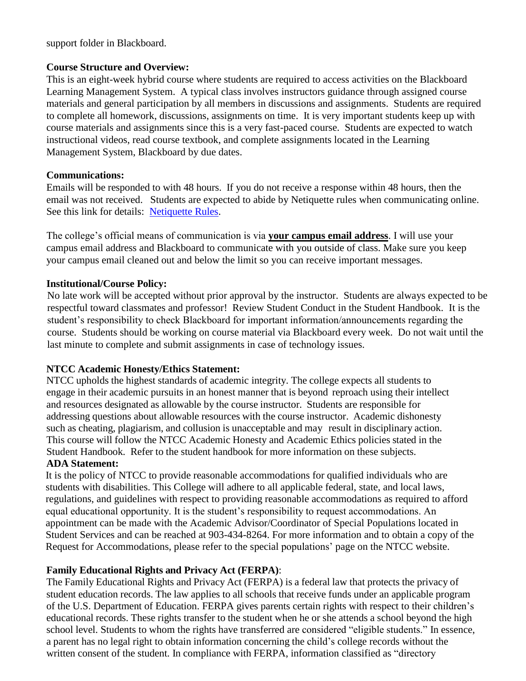support folder in Blackboard.

#### **Course Structure and Overview:**

This is an eight-week hybrid course where students are required to access activities on the Blackboard Learning Management System. A typical class involves instructors guidance through assigned course materials and general participation by all members in discussions and assignments. Students are required to complete all homework, discussions, assignments on time. It is very important students keep up with course materials and assignments since this is a very fast-paced course. Students are expected to watch instructional videos, read course textbook, and complete assignments located in the Learning Management System, Blackboard by due dates.

#### **Communications:**

Emails will be responded to with 48 hours. If you do not receive a response within 48 hours, then the email was not received. Students are expected to abide by Netiquette rules when communicating online. See this link for details: [Netiquette Rules.](http://www.albion.com/netiquette/corerules.html)

The college's official means of communication is via **your campus email address**. I will use your campus email address and Blackboard to communicate with you outside of class. Make sure you keep your campus email cleaned out and below the limit so you can receive important messages.

#### **Institutional/Course Policy:**

 No late work will be accepted without prior approval by the instructor. Students are always expected to be respectful toward classmates and professor! Review Student Conduct in the Student Handbook. It is the student's responsibility to check Blackboard for important information/announcements regarding the course. Students should be working on course material via Blackboard every week. Do not wait until the last minute to complete and submit assignments in case of technology issues.

#### **NTCC Academic Honesty/Ethics Statement:**

NTCC upholds the highest standards of academic integrity. The college expects all students to engage in their academic pursuits in an honest manner that is beyond reproach using their intellect and resources designated as allowable by the course instructor. Students are responsible for addressing questions about allowable resources with the course instructor. Academic dishonesty such as cheating, plagiarism, and collusion is unacceptable and may result in disciplinary action. This course will follow the NTCC Academic Honesty and Academic Ethics policies stated in the Student Handbook. Refer to the student handbook for more information on these subjects.

#### **ADA Statement:**

It is the policy of NTCC to provide reasonable accommodations for qualified individuals who are students with disabilities. This College will adhere to all applicable federal, state, and local laws, regulations, and guidelines with respect to providing reasonable accommodations as required to afford equal educational opportunity. It is the student's responsibility to request accommodations. An appointment can be made with the Academic Advisor/Coordinator of Special Populations located in Student Services and can be reached at 903-434-8264. For more information and to obtain a copy of the Request for Accommodations, please refer to the special populations' page on the NTCC websit[e.](http://www.ntcc.edu/index.php?module=Pagesetter&func=viewpub&tid=111&pid=1) 

#### **Family Educational Rights and Privacy Act (FERPA)**:

The Family Educational Rights and Privacy Act (FERPA) is a federal law that protects the privacy of student education records. The law applies to all schools that receive funds under an applicable program of the U.S. Department of Education. FERPA gives parents certain rights with respect to their children's educational records. These rights transfer to the student when he or she attends a school beyond the high school level. Students to whom the rights have transferred are considered "eligible students." In essence, a parent has no legal right to obtain information concerning the child's college records without the written consent of the student. In compliance with FERPA, information classified as "directory